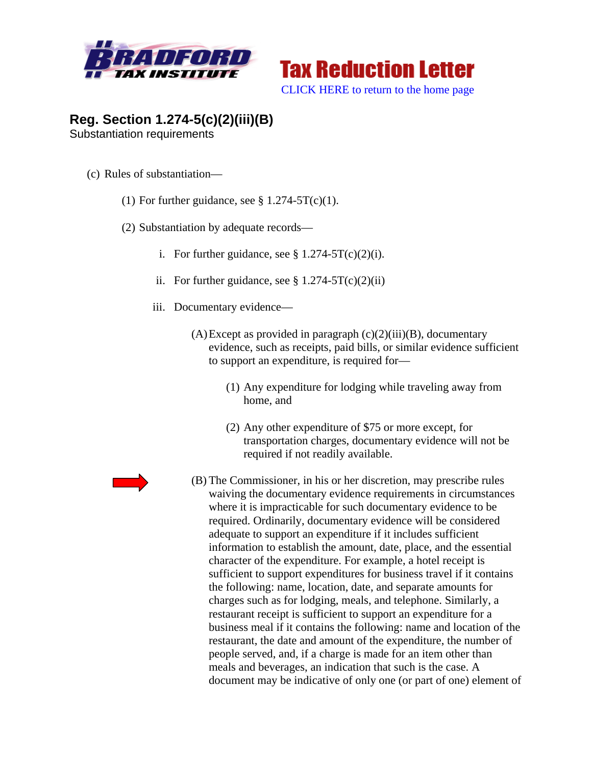



## **Reg. Section 1.274-5(c)(2)(iii)(B)**  Substantiation requirements

- (c) Rules of substantiation—
	- (1) For further guidance, see  $\S 1.274-5T(c)(1)$ .
	- (2) Substantiation by adequate records
		- i. For further guidance, see  $\S 1.274-5T(c)(2)(i)$ .
		- ii. For further guidance, see  $\S 1.274-5T(c)(2)(ii)$
		- iii. Documentary evidence—
			- $(A)$ Except as provided in paragraph  $(c)(2)(iii)(B)$ , documentary evidence, such as receipts, paid bills, or similar evidence sufficient to support an expenditure, is required for—
				- (1) Any expenditure for lodging while traveling away from home, and
				- (2) Any other expenditure of \$75 or more except, for transportation charges, documentary evidence will not be required if not readily available.



(B) The Commissioner, in his or her discretion, may prescribe rules waiving the documentary evidence requirements in circumstances where it is impracticable for such documentary evidence to be required. Ordinarily, documentary evidence will be considered adequate to support an expenditure if it includes sufficient information to establish the amount, date, place, and the essential character of the expenditure. For example, a hotel receipt is sufficient to support expenditures for business travel if it contains the following: name, location, date, and separate amounts for charges such as for lodging, meals, and telephone. Similarly, a restaurant receipt is sufficient to support an expenditure for a business meal if it contains the following: name and location of the restaurant, the date and amount of the expenditure, the number of people served, and, if a charge is made for an item other than meals and beverages, an indication that such is the case. A document may be indicative of only one (or part of one) element of